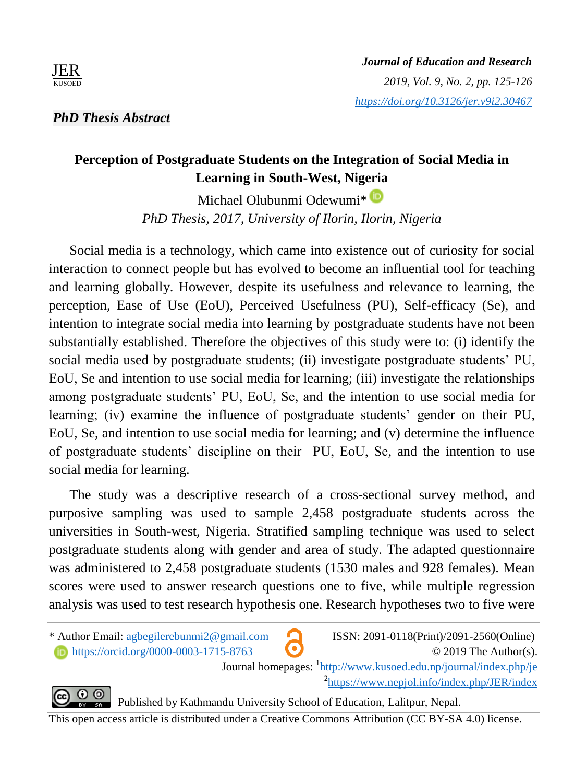

## **Perception of Postgraduate Students on the Integration of Social Media in Learning in South-West, Nigeria**

Michael Olubunmi Odewumi\* *PhD Thesis, 2017, University of Ilorin, Ilorin, Nigeria*

Social media is a technology, which came into existence out of curiosity for social interaction to connect people but has evolved to become an influential tool for teaching and learning globally. However, despite its usefulness and relevance to learning, the perception, Ease of Use (EoU), Perceived Usefulness (PU), Self-efficacy (Se), and intention to integrate social media into learning by postgraduate students have not been substantially established. Therefore the objectives of this study were to: (i) identify the social media used by postgraduate students; (ii) investigate postgraduate students' PU, EoU, Se and intention to use social media for learning; (iii) investigate the relationships among postgraduate students' PU, EoU, Se, and the intention to use social media for learning; (iv) examine the influence of postgraduate students' gender on their PU, EoU, Se, and intention to use social media for learning; and (v) determine the influence of postgraduate students' discipline on their PU, EoU, Se, and the intention to use social media for learning.

The study was a descriptive research of a cross-sectional survey method, and purposive sampling was used to sample 2,458 postgraduate students across the universities in South-west, Nigeria. Stratified sampling technique was used to select postgraduate students along with gender and area of study. The adapted questionnaire was administered to 2,458 postgraduate students (1530 males and 928 females). Mean scores were used to answer research questions one to five, while multiple regression analysis was used to test research hypothesis one. Research hypotheses two to five were

\* Author Email: agbegilerebunmi2@gmail.com ISSN: 2091-0118(Print)/2091-2560(Online) **h**https://orcid.org/0000-0003-1715-8763  $\bullet$   $\bullet$  2019 The Author(s).



Journal homepages:  $\frac{1 \text{http://www.kusoed.edu,np/journal/index.php/j}}{$ <sup>2</sup>https://www.nepjol.info/index.php/JER/index

Published by Kathmandu University School of Education, Lalitpur, Nepal.

This open access article is distributed under a Creative Commons Attribution (CC BY-SA 4.0) license.